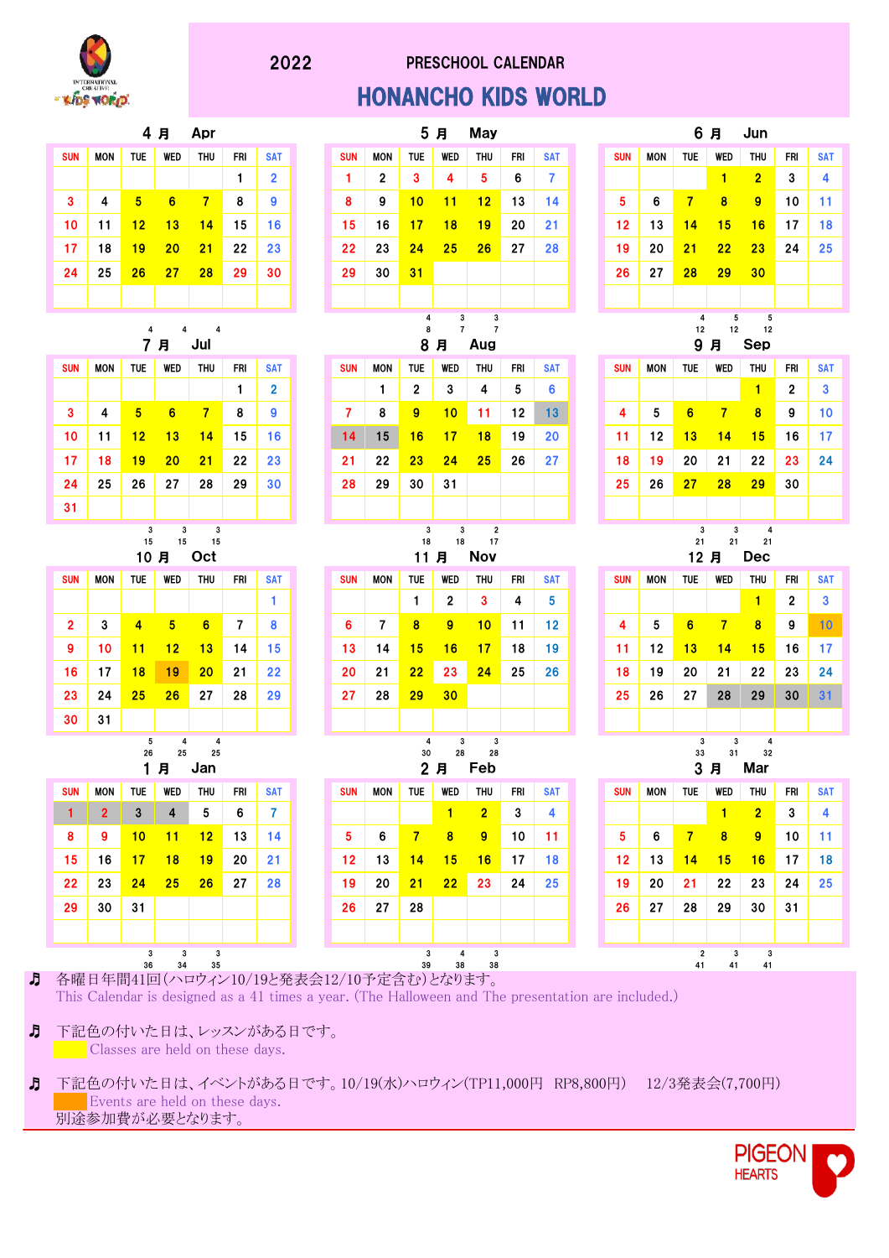

## PRESCHOOL CALENDAR HONANCHO KIDS WORLD



♬ Classes are held on these days. 下記色の付いた日は、レッスンがある日です。

♬

♬ Events are held on these days. 別途参加費が必要となります。 下記色の付いた日は、イベントがある日です。10/19(水)ハロウィン(TP11,000円 RP8,800円) 12/3発表会(7,700円)

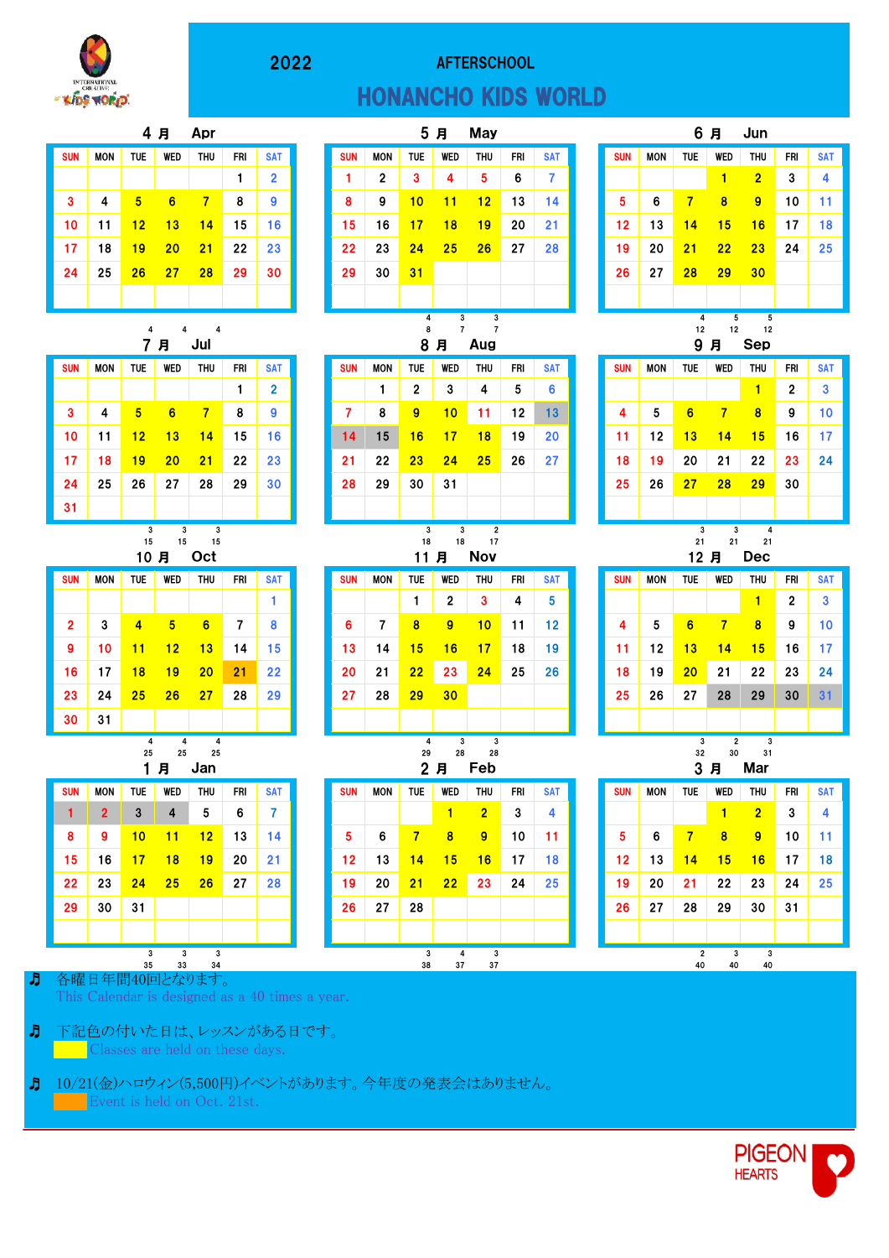

# AFTERSCHOOL HONANCHO KIDS WORLD























| <b>WED</b> | THU | FRI | <b>SAT</b> | <b>SUN</b> | <b>MON</b> | <b>TUE</b> | <b>WED</b> | <b>THU</b>     | FRI | <b>SAT</b> |
|------------|-----|-----|------------|------------|------------|------------|------------|----------------|-----|------------|
| 4          | 5   | 6   | 7          |            |            |            | 1          | $\overline{2}$ | 3   | 4          |
| 11         | 12  | 13  | 14         | 5          | 6          | 7          | 8          | 9              | 10  | 11         |
| 18         | 19  | 20  | 21         | 12         | 13         | 14         | 15         | 16             | 17  | 18         |
| 25         | 26  | 27  | 28         | 19         | 20         | 21         | 22         | 23             | 24  | 25         |
|            |     |     |            | 26         | 27         | 28         | 29         | 30             |     |            |
|            |     |     |            |            |            |            |            |                |     |            |
| 4<br>3     | 3   |     |            |            |            | 4          | 5          | 5              |     |            |

| <b>WED</b> | <b>THU</b>                         | FRI | <b>SAT</b> |  | <b>SUN</b> | MON | TUE | <b>WED</b> | <b>THU</b> | FRI | <b>SAT</b> | <b>SUN</b> | MON | <b>TUE</b> | WED | THU | FRI |  |
|------------|------------------------------------|-----|------------|--|------------|-----|-----|------------|------------|-----|------------|------------|-----|------------|-----|-----|-----|--|
|            |                                    |     | _          |  |            |     | 2   | 3          | 4          | 5   | 6          |            |     |            |     |     | 2   |  |
| 6          | 7                                  | 8   | 9          |  |            | 8   | 9   | 10         | 11         | 12  | 13         | 4          | 5   | 6          |     | 8   | 9   |  |
| 13         | 14                                 | 15  | 16         |  | 14         | 15  | 16  | 17         | 18         | 19  | 20         | 11         | 12  | 13         | 14  | 15  | 16  |  |
| 20         | 21                                 | 22  | 23         |  | 21         | 22  | 23  | 24         | 25         | 26  | 27         | 18         | 19  | 20         | 21  | 22  | 23  |  |
| 27         | 28                                 | 29  | 30         |  | 28         | 29  | 30  | 31         |            |     |            | 25         | 26  | 27         | 28  | 29  | 30  |  |
|            |                                    |     |            |  |            |     |     |            |            |     |            |            |     |            |     |     |     |  |
|            | 3<br>3<br>3<br>3<br>$\overline{2}$ |     |            |  |            |     |     |            |            |     | 3          | 3          | 4   |            |     |     |     |  |

| <b>SUN</b> | <b>MON</b> | <b>TUE</b> | WED            | <b>THU</b> | FRI            | <b>SAT</b> |
|------------|------------|------------|----------------|------------|----------------|------------|
|            |            |            |                | 1          | $\overline{2}$ | 3          |
| 4          | 5          | 6          | 7              | 8          | 9              | 10         |
| 11         | 12         | 13         | 14             | 15         | 16             | 17         |
| 18         | 19         | 20         | 21             | 22         | 23             | 24         |
| 25         | 26         | 27         | 28             | 29         | 30             | 31         |
|            |            |            |                |            |                |            |
|            |            | 3          | $\overline{2}$ | 3          |                |            |



各曜日年間40回となります。 This Calendar is designed as a 40 times a year.

♬ Classes are held on these days. 下記色の付いた日は、レッスンがある日です。

♬

♬ Event is held on Oct. 21st. 10/21(金)ハロウィン(5,500円)イベントがあります。今年度の発表会はありません。